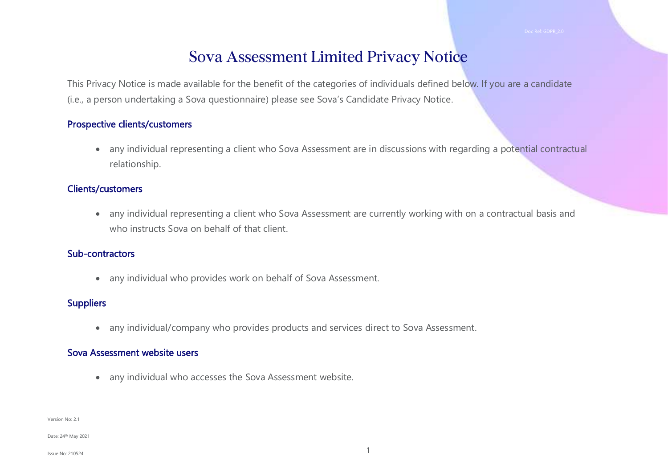# Sova Assessment Limited Privacy Notice

This Privacy Notice is made available for the benefit of the categories of individuals defined below. If you are a candidate (i.e., a person undertaking a Sova questionnaire) please see Sova's Candidate Privacy Notice.

#### Prospective clients/customers

• any individual representing a client who Sova Assessment are in discussions with regarding a potential contractual relationship.

#### Clients/customers

• any individual representing a client who Sova Assessment are currently working with on a contractual basis and who instructs Sova on behalf of that client.

#### Sub-contractors

• any individual who provides work on behalf of Sova Assessment.

#### **Suppliers**

• any individual/company who provides products and services direct to Sova Assessment.

#### Sova Assessment website users

• any individual who accesses the Sova Assessment website.

Version No: 2.1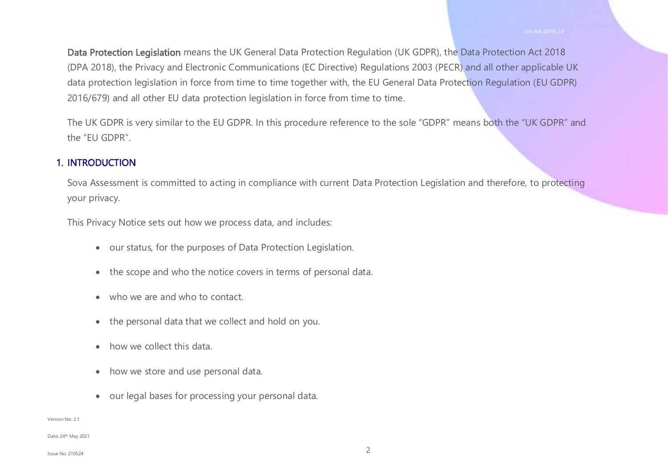Data Protection Legislation means the UK General Data Protection Regulation (UK GDPR), the Data Protection Act 2018 (DPA 2018), the Privacy and Electronic Communications (EC Directive) Regulations 2003 (PECR) and all other applicable UK data protection legislation in force from time to time together with, the EU General Data Protection Regulation (EU GDPR) 2016/679) and all other EU data protection legislation in force from time to time.

The UK GDPR is very similar to the EU GDPR. In this procedure reference to the sole "GDPR" means both the "UK GDPR" and the "EU GDPR".

#### 1. INTRODUCTION

Sova Assessment is committed to acting in compliance with current Data Protection Legislation and therefore, to protecting your privacy.

This Privacy Notice sets out how we process data, and includes:

- our status, for the purposes of Data Protection Legislation.
- the scope and who the notice covers in terms of personal data.
- who we are and who to contact.
- the personal data that we collect and hold on you.
- how we collect this data.
- how we store and use personal data.
- our legal bases for processing your personal data.

#### Version No: 2.1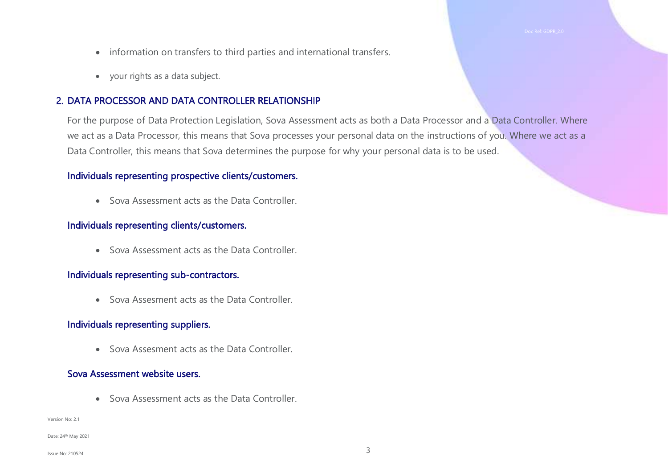- information on transfers to third parties and international transfers.
- your rights as a data subject.

#### 2. DATA PROCESSOR AND DATA CONTROLLER RELATIONSHIP

For the purpose of Data Protection Legislation, Sova Assessment acts as both a Data Processor and a Data Controller. Where we act as a Data Processor, this means that Sova processes your personal data on the instructions of you. Where we act as a Data Controller, this means that Sova determines the purpose for why your personal data is to be used.

#### Individuals representing prospective clients/customers.

• Sova Assessment acts as the Data Controller.

#### Individuals representing clients/customers.

• Sova Assessment acts as the Data Controller.

#### Individuals representing sub-contractors.

• Sova Assesment acts as the Data Controller.

#### Individuals representing suppliers.

• Sova Assesment acts as the Data Controller.

#### Sova Assessment website users.

• Sova Assessment acts as the Data Controller.

#### Version No: 2.1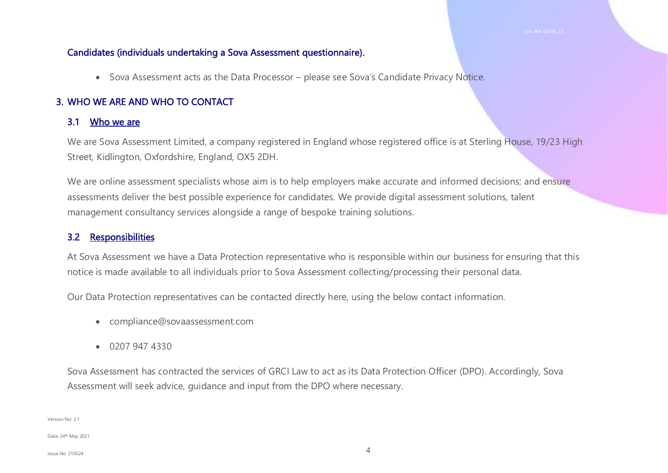#### Candidates (individuals undertaking a Sova Assessment questionnaire).

• Sova Assessment acts as the Data Processor – please see Sova's Candidate Privacy Notice.

#### 3. WHO WE ARE AND WHO TO CONTACT

#### 3.1 Who we are

We are Sova Assessment Limited, a company registered in England whose registered office is at Sterling House, 19/23 High Street, Kidlington, Oxfordshire, England, OX5 2DH.

We are online assessment specialists whose aim is to help employers make accurate and informed decisions; and ensure assessments deliver the best possible experience for candidates. We provide digital assessment solutions, talent management consultancy services alongside a range of bespoke training solutions.

#### 3.2 Responsibilities

At Sova Assessment we have a Data Protection representative who is responsible within our business for ensuring that this notice is made available to all individuals prior to Sova Assessment collecting/processing their personal data.

Our Data Protection representatives can be contacted directly here, using the below contact information.

- compliance@sovaassessment.com
- 0207 947 4330

Sova Assessment has contracted the services of GRCI Law to act as its Data Protection Officer (DPO). Accordingly, Sova Assessment will seek advice, guidance and input from the DPO where necessary.

Version No: 2.1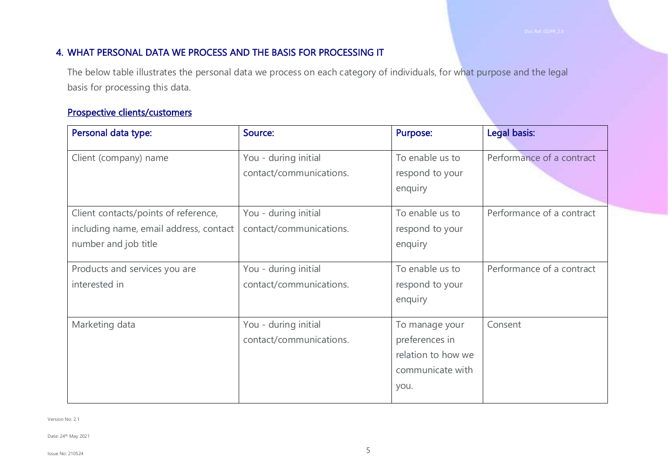#### 4. WHAT PERSONAL DATA WE PROCESS AND THE BASIS FOR PROCESSING IT

The below table illustrates the personal data we process on each category of individuals, for what purpose and the legal basis for processing this data.

## Prospective clients/customers

| Personal data type:                                                                                    | Source:                                         | <b>Purpose:</b>                                                                    | Legal basis:              |
|--------------------------------------------------------------------------------------------------------|-------------------------------------------------|------------------------------------------------------------------------------------|---------------------------|
| Client (company) name                                                                                  | You - during initial<br>contact/communications. | To enable us to<br>respond to your<br>enquiry                                      | Performance of a contract |
| Client contacts/points of reference,<br>including name, email address, contact<br>number and job title | You - during initial<br>contact/communications. | To enable us to<br>respond to your<br>enquiry                                      | Performance of a contract |
| Products and services you are<br>interested in                                                         | You - during initial<br>contact/communications. | To enable us to<br>respond to your<br>enquiry                                      | Performance of a contract |
| Marketing data                                                                                         | You - during initial<br>contact/communications. | To manage your<br>preferences in<br>relation to how we<br>communicate with<br>you. | Consent                   |

Version No: 2.1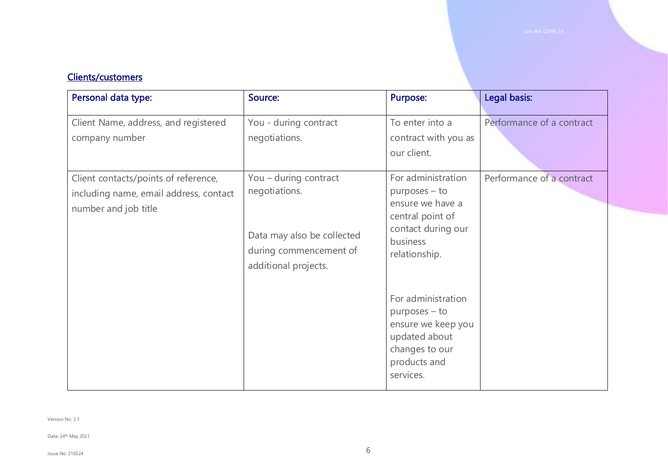#### Clients/customers

| Personal data type:                                                                                    | Source:                                                                                                                | <b>Purpose:</b>                                                                                                                | Legal basis:              |
|--------------------------------------------------------------------------------------------------------|------------------------------------------------------------------------------------------------------------------------|--------------------------------------------------------------------------------------------------------------------------------|---------------------------|
| Client Name, address, and registered<br>company number                                                 | You - during contract<br>negotiations.                                                                                 | To enter into a<br>contract with you as<br>our client.                                                                         | Performance of a contract |
| Client contacts/points of reference,<br>including name, email address, contact<br>number and job title | You - during contract<br>negotiations.<br>Data may also be collected<br>during commencement of<br>additional projects. | For administration<br>purposes – to<br>ensure we have a<br>central point of<br>contact during our<br>business<br>relationship. | Performance of a contract |
|                                                                                                        |                                                                                                                        | For administration<br>$p$ urposes $-$ to<br>ensure we keep you<br>updated about<br>changes to our<br>products and<br>services. |                           |

Version No: 2.1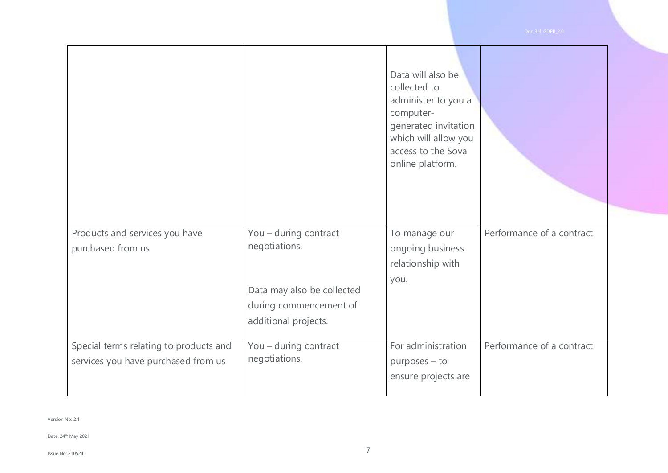Date: 24th May 2021

|                                                                               |                                                                                                                        | Data will also be<br>collected to<br>administer to you a<br>computer-<br>generated invitation<br>which will allow you<br>access to the Sova<br>online platform. |                           |
|-------------------------------------------------------------------------------|------------------------------------------------------------------------------------------------------------------------|-----------------------------------------------------------------------------------------------------------------------------------------------------------------|---------------------------|
| Products and services you have<br>purchased from us                           | You - during contract<br>negotiations.<br>Data may also be collected<br>during commencement of<br>additional projects. | To manage our<br>ongoing business<br>relationship with<br>you.                                                                                                  | Performance of a contract |
| Special terms relating to products and<br>services you have purchased from us | You - during contract<br>negotiations.                                                                                 | For administration<br>purposes - to<br>ensure projects are                                                                                                      | Performance of a contract |

7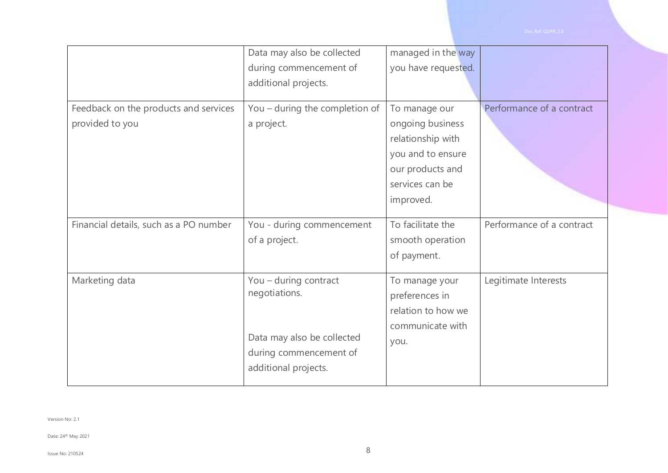|                                                          | Data may also be collected                                                                                             | managed in the way                                                                                                              |                           |
|----------------------------------------------------------|------------------------------------------------------------------------------------------------------------------------|---------------------------------------------------------------------------------------------------------------------------------|---------------------------|
|                                                          | during commencement of                                                                                                 | you have requested.                                                                                                             |                           |
|                                                          | additional projects.                                                                                                   |                                                                                                                                 |                           |
| Feedback on the products and services<br>provided to you | You - during the completion of<br>a project.                                                                           | To manage our<br>ongoing business<br>relationship with<br>you and to ensure<br>our products and<br>services can be<br>improved. | Performance of a contract |
| Financial details, such as a PO number                   | You - during commencement<br>of a project.                                                                             | To facilitate the<br>smooth operation<br>of payment.                                                                            | Performance of a contract |
| Marketing data                                           | You - during contract<br>negotiations.<br>Data may also be collected<br>during commencement of<br>additional projects. | To manage your<br>preferences in<br>relation to how we<br>communicate with<br>you.                                              | Legitimate Interests      |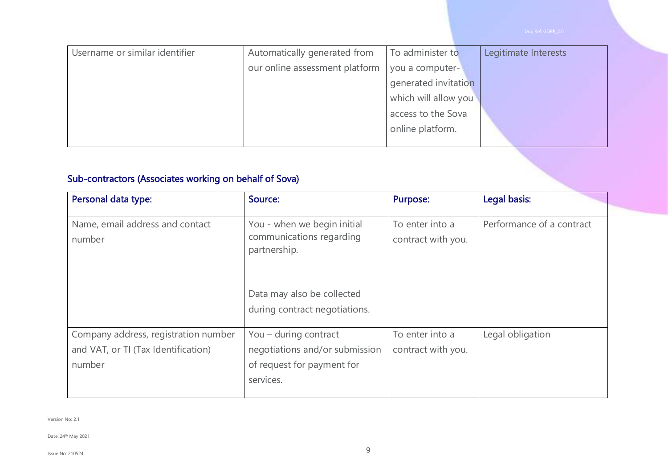| Username or similar identifier | Automatically generated from   | To administer to     | Legitimate Interests |
|--------------------------------|--------------------------------|----------------------|----------------------|
|                                | our online assessment platform | you a computer-      |                      |
|                                |                                | generated invitation |                      |
|                                |                                | which will allow you |                      |
|                                |                                | access to the Sova   |                      |
|                                |                                | online platform.     |                      |
|                                |                                |                      |                      |

## Sub-contractors (Associates working on behalf of Sova)

| Personal data type:                                                                   | Source:                                                                                            | <b>Purpose:</b>                       | Legal basis:              |
|---------------------------------------------------------------------------------------|----------------------------------------------------------------------------------------------------|---------------------------------------|---------------------------|
| Name, email address and contact<br>number                                             | You - when we begin initial<br>communications regarding<br>partnership.                            | To enter into a<br>contract with you. | Performance of a contract |
|                                                                                       | Data may also be collected<br>during contract negotiations.                                        |                                       |                           |
| Company address, registration number<br>and VAT, or TI (Tax Identification)<br>number | You – during contract<br>negotiations and/or submission<br>of request for payment for<br>services. | To enter into a<br>contract with you. | Legal obligation          |

Version No: 2.1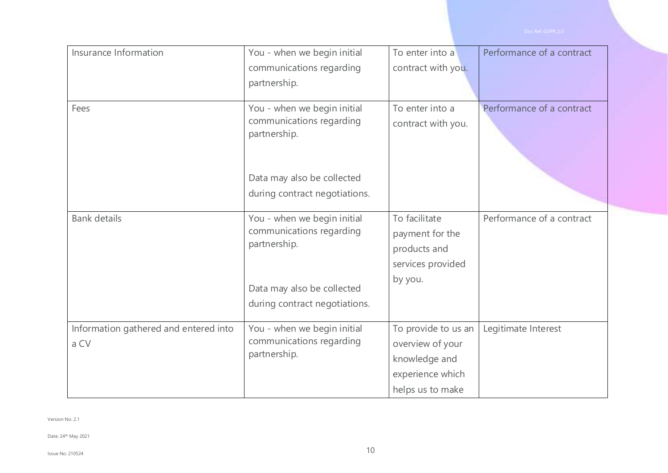| Insurance Information                         | You - when we begin initial                                             | To enter into a                                                                                  | Performance of a contract |
|-----------------------------------------------|-------------------------------------------------------------------------|--------------------------------------------------------------------------------------------------|---------------------------|
|                                               | communications regarding                                                | contract with you.                                                                               |                           |
|                                               | partnership.                                                            |                                                                                                  |                           |
| Fees                                          | You - when we begin initial<br>communications regarding<br>partnership. | To enter into a<br>contract with you.                                                            | Performance of a contract |
|                                               | Data may also be collected<br>during contract negotiations.             |                                                                                                  |                           |
| <b>Bank details</b>                           | You - when we begin initial<br>communications regarding<br>partnership. | To facilitate<br>payment for the<br>products and<br>services provided                            | Performance of a contract |
|                                               | Data may also be collected<br>during contract negotiations.             | by you.                                                                                          |                           |
| Information gathered and entered into<br>a CV | You - when we begin initial<br>communications regarding<br>partnership. | To provide to us an<br>overview of your<br>knowledge and<br>experience which<br>helps us to make | Legitimate Interest       |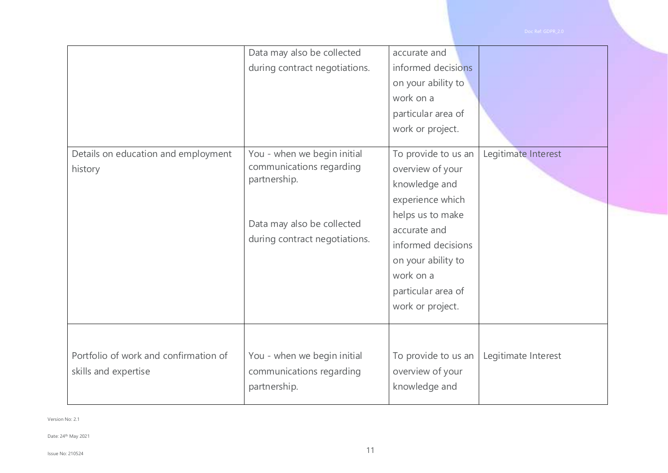|                                                               | Data may also be collected<br>during contract negotiations.                                                                            | accurate and<br>informed decisions<br>on your ability to<br>work on a<br>particular area of<br>work or project.                                                                                                     |                     |
|---------------------------------------------------------------|----------------------------------------------------------------------------------------------------------------------------------------|---------------------------------------------------------------------------------------------------------------------------------------------------------------------------------------------------------------------|---------------------|
| Details on education and employment<br>history                | You - when we begin initial<br>communications regarding<br>partnership.<br>Data may also be collected<br>during contract negotiations. | To provide to us an<br>overview of your<br>knowledge and<br>experience which<br>helps us to make<br>accurate and<br>informed decisions<br>on your ability to<br>work on a<br>particular area of<br>work or project. | Legitimate Interest |
| Portfolio of work and confirmation of<br>skills and expertise | You - when we begin initial<br>communications regarding<br>partnership.                                                                | To provide to us an<br>overview of your<br>knowledge and                                                                                                                                                            | Legitimate Interest |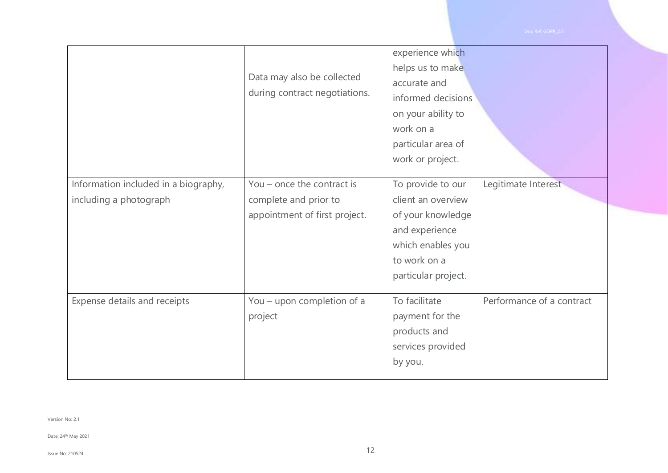|                                                                | Data may also be collected<br>during contract negotiations.                          | experience which<br>helps us to make<br>accurate and<br>informed decisions<br>on your ability to<br>work on a<br>particular area of<br>work or project. |                           |
|----------------------------------------------------------------|--------------------------------------------------------------------------------------|---------------------------------------------------------------------------------------------------------------------------------------------------------|---------------------------|
| Information included in a biography,<br>including a photograph | You - once the contract is<br>complete and prior to<br>appointment of first project. | To provide to our<br>client an overview<br>of your knowledge<br>and experience<br>which enables you<br>to work on a<br>particular project.              | Legitimate Interest       |
| Expense details and receipts                                   | You - upon completion of a<br>project                                                | To facilitate<br>payment for the<br>products and<br>services provided<br>by you.                                                                        | Performance of a contract |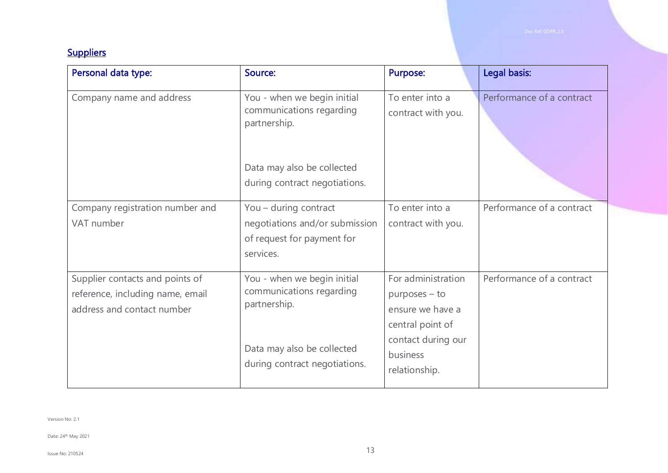## **Suppliers**

| Personal data type:                                                                               | Source:                                                                                               | <b>Purpose:</b>                                                                                                  | Legal basis:              |
|---------------------------------------------------------------------------------------------------|-------------------------------------------------------------------------------------------------------|------------------------------------------------------------------------------------------------------------------|---------------------------|
| Company name and address                                                                          | You - when we begin initial<br>communications regarding<br>partnership.                               | To enter into a<br>contract with you.                                                                            | Performance of a contract |
|                                                                                                   | Data may also be collected<br>during contract negotiations.                                           |                                                                                                                  |                           |
| Company registration number and<br>VAT number                                                     | You - during contract<br>negotiations and/or submission<br>of request for payment for<br>services.    | To enter into a<br>contract with you.                                                                            | Performance of a contract |
| Supplier contacts and points of<br>reference, including name, email<br>address and contact number | You - when we begin initial<br>communications regarding<br>partnership.<br>Data may also be collected | For administration<br>$p$ urposes – to<br>ensure we have a<br>central point of<br>contact during our<br>business | Performance of a contract |
|                                                                                                   | during contract negotiations.                                                                         | relationship.                                                                                                    |                           |

Version No: 2.1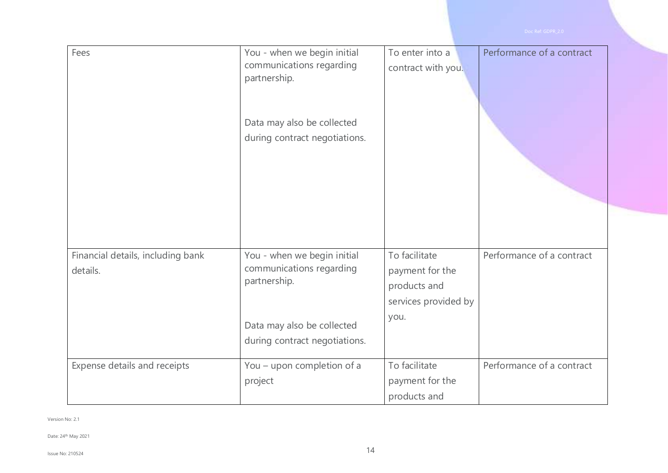| Fees                                          | You - when we begin initial<br>communications regarding<br>partnership.<br>Data may also be collected<br>during contract negotiations. | To enter into a<br>contract with you.                                            | Performance of a contract |
|-----------------------------------------------|----------------------------------------------------------------------------------------------------------------------------------------|----------------------------------------------------------------------------------|---------------------------|
| Financial details, including bank<br>details. | You - when we begin initial<br>communications regarding<br>partnership.<br>Data may also be collected<br>during contract negotiations. | To facilitate<br>payment for the<br>products and<br>services provided by<br>you. | Performance of a contract |
| Expense details and receipts                  | You - upon completion of a<br>project                                                                                                  | To facilitate<br>payment for the<br>products and                                 | Performance of a contract |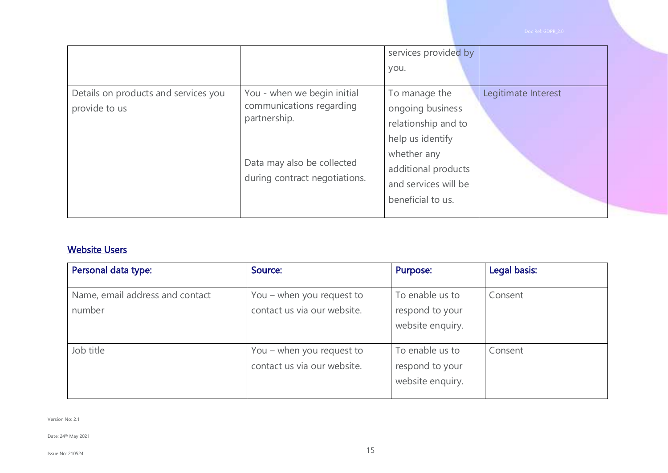|                                                       |                                                                                                                                        | services provided by<br>you.                                                                                                                                    |                     |
|-------------------------------------------------------|----------------------------------------------------------------------------------------------------------------------------------------|-----------------------------------------------------------------------------------------------------------------------------------------------------------------|---------------------|
| Details on products and services you<br>provide to us | You - when we begin initial<br>communications regarding<br>partnership.<br>Data may also be collected<br>during contract negotiations. | To manage the<br>ongoing business<br>relationship and to<br>help us identify<br>whether any<br>additional products<br>and services will be<br>beneficial to us. | Legitimate Interest |

#### Website Users

| Personal data type:                       | Source:                                                  | Purpose:                                               | Legal basis: |
|-------------------------------------------|----------------------------------------------------------|--------------------------------------------------------|--------------|
| Name, email address and contact<br>number | You – when you request to<br>contact us via our website. | To enable us to<br>respond to your<br>website enquiry. | Consent      |
| Job title                                 | You – when you request to<br>contact us via our website. | To enable us to<br>respond to your<br>website enquiry. | Consent      |

Version No: 2.1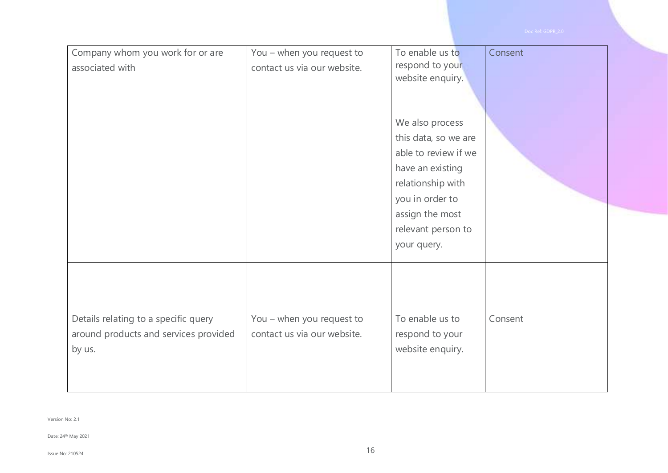| Company whom you work for or are<br>associated with                                     | You - when you request to<br>contact us via our website. | To enable us to<br>respond to your<br>website enquiry.<br>We also process<br>this data, so we are<br>able to review if we<br>have an existing<br>relationship with<br>you in order to<br>assign the most<br>relevant person to<br>your query. | Consent |
|-----------------------------------------------------------------------------------------|----------------------------------------------------------|-----------------------------------------------------------------------------------------------------------------------------------------------------------------------------------------------------------------------------------------------|---------|
| Details relating to a specific query<br>around products and services provided<br>by us. | You - when you request to<br>contact us via our website. | To enable us to<br>respond to your<br>website enquiry.                                                                                                                                                                                        | Consent |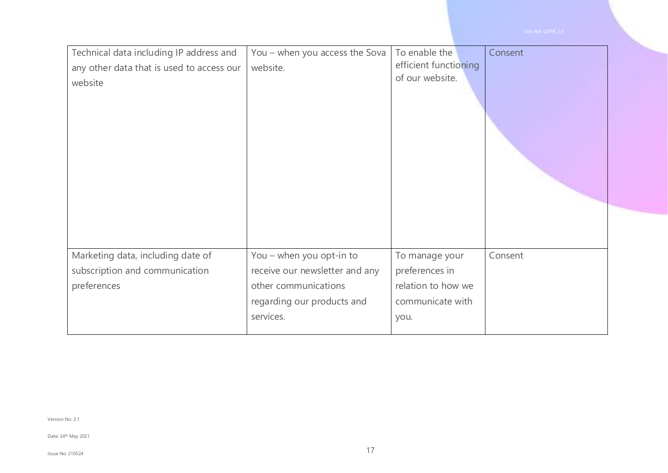| Technical data including IP address and<br>any other data that is used to access our<br>website | You - when you access the Sova<br>website.                                                                                    | To enable the<br>efficient functioning<br>of our website.                          | Consent |
|-------------------------------------------------------------------------------------------------|-------------------------------------------------------------------------------------------------------------------------------|------------------------------------------------------------------------------------|---------|
| Marketing data, including date of<br>subscription and communication<br>preferences              | You - when you opt-in to<br>receive our newsletter and any<br>other communications<br>regarding our products and<br>services. | To manage your<br>preferences in<br>relation to how we<br>communicate with<br>you. | Consent |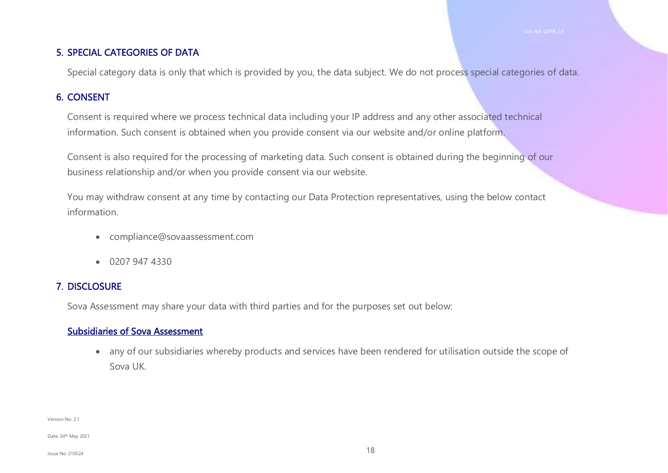#### 5. SPECIAL CATEGORIES OF DATA

Special category data is only that which is provided by you, the data subject. We do not process special categories of data.

#### 6. CONSENT

Consent is required where we process technical data including your IP address and any other associated technical information. Such consent is obtained when you provide consent via our website and/or online platform.

Consent is also required for the processing of marketing data. Such consent is obtained during the beginning of our business relationship and/or when you provide consent via our website.

You may withdraw consent at any time by contacting our Data Protection representatives, using the below contact information.

- compliance@sovaassessment.com
- 0207 947 4330

#### 7. DISCLOSURE

Sova Assessment may share your data with third parties and for the purposes set out below:

#### Subsidiaries of Sova Assessment

• any of our subsidiaries whereby products and services have been rendered for utilisation outside the scope of Sova UK.

Version No: 2.1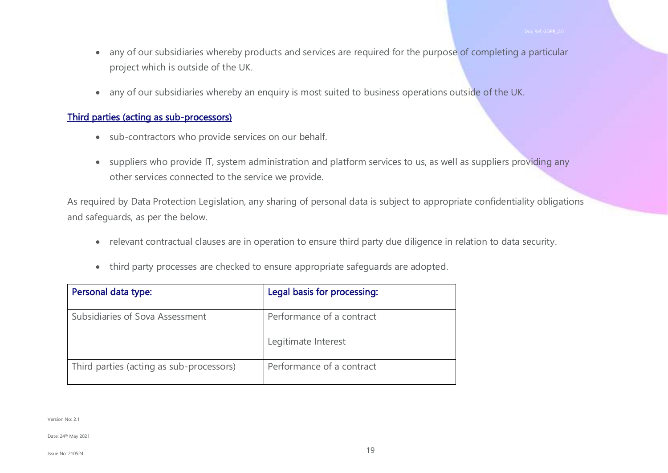- any of our subsidiaries whereby products and services are required for the purpose of completing a particular project which is outside of the UK.
- any of our subsidiaries whereby an enquiry is most suited to business operations outside of the UK.

#### Third parties (acting as sub-processors)

- sub-contractors who provide services on our behalf.
- suppliers who provide IT, system administration and platform services to us, as well as suppliers providing any other services connected to the service we provide.

As required by Data Protection Legislation, any sharing of personal data is subject to appropriate confidentiality obligations and safeguards, as per the below.

- relevant contractual clauses are in operation to ensure third party due diligence in relation to data security.
- third party processes are checked to ensure appropriate safeguards are adopted.

| Personal data type:                      | Legal basis for processing: |
|------------------------------------------|-----------------------------|
| Subsidiaries of Sova Assessment          | Performance of a contract   |
|                                          | Legitimate Interest         |
| Third parties (acting as sub-processors) | Performance of a contract   |

Version No: 2.1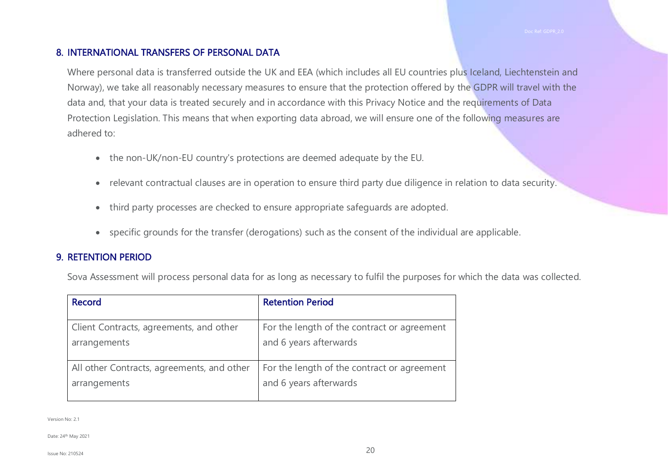#### 8. INTERNATIONAL TRANSFERS OF PERSONAL DATA

Where personal data is transferred outside the UK and EEA (which includes all EU countries plus Iceland, Liechtenstein and Norway), we take all reasonably necessary measures to ensure that the protection offered by the GDPR will travel with the data and, that your data is treated securely and in accordance with this Privacy Notice and the requirements of Data Protection Legislation. This means that when exporting data abroad, we will ensure one of the following measures are adhered to:

- the non-UK/non-EU country's protections are deemed adequate by the EU.
- relevant contractual clauses are in operation to ensure third party due diligence in relation to data security.
- third party processes are checked to ensure appropriate safeguards are adopted.
- specific grounds for the transfer (derogations) such as the consent of the individual are applicable.

#### 9. RETENTION PERIOD

Sova Assessment will process personal data for as long as necessary to fulfil the purposes for which the data was collected.

| Record                                     | <b>Retention Period</b>                     |
|--------------------------------------------|---------------------------------------------|
|                                            |                                             |
| Client Contracts, agreements, and other    | For the length of the contract or agreement |
| arrangements                               | and 6 years afterwards                      |
|                                            |                                             |
| All other Contracts, agreements, and other | For the length of the contract or agreement |
| arrangements                               | and 6 years afterwards                      |
|                                            |                                             |

Version No: 2.1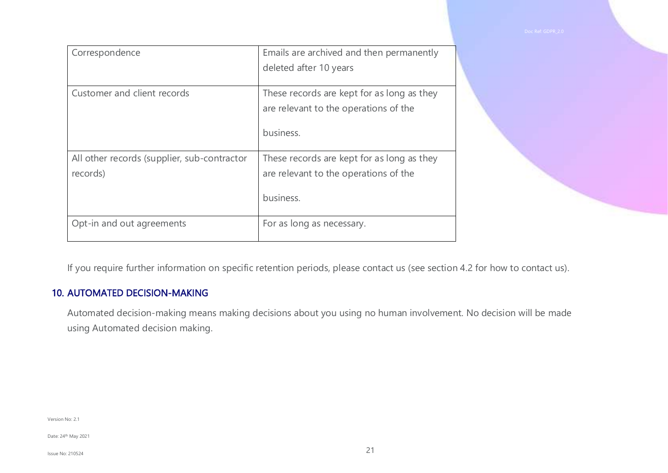| Correspondence                                          | Emails are archived and then permanently<br>deleted after 10 years                               |
|---------------------------------------------------------|--------------------------------------------------------------------------------------------------|
| Customer and client records                             | These records are kept for as long as they<br>are relevant to the operations of the<br>business. |
| All other records (supplier, sub-contractor<br>records) | These records are kept for as long as they<br>are relevant to the operations of the<br>business. |
| Opt-in and out agreements                               | For as long as necessary.                                                                        |

If you require further information on specific retention periods, please contact us (see section 4.2 for how to contact us).

#### 10. AUTOMATED DECISION-MAKING

Automated decision-making means making decisions about you using no human involvement. No decision will be made using Automated decision making.

Version No: 2.1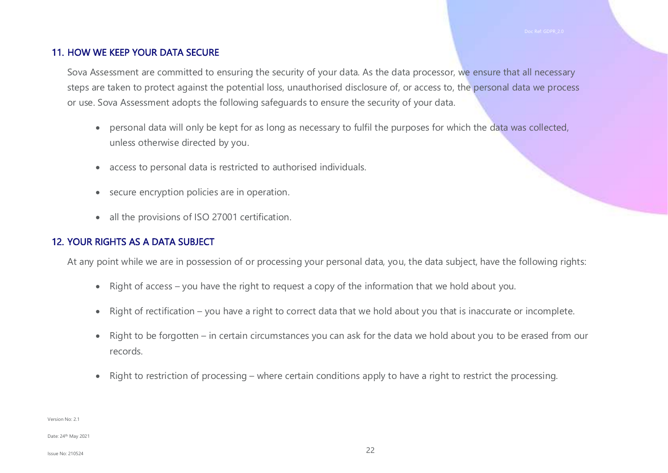#### 11. HOW WE KEEP YOUR DATA SECURE

Sova Assessment are committed to ensuring the security of your data. As the data processor, we ensure that all necessary steps are taken to protect against the potential loss, unauthorised disclosure of, or access to, the personal data we process or use. Sova Assessment adopts the following safeguards to ensure the security of your data.

- personal data will only be kept for as long as necessary to fulfil the purposes for which the data was collected, unless otherwise directed by you.
- access to personal data is restricted to authorised individuals.
- secure encryption policies are in operation.
- all the provisions of ISO 27001 certification.

### 12. YOUR RIGHTS AS A DATA SUBJECT

At any point while we are in possession of or processing your personal data, you, the data subject, have the following rights:

- Right of access you have the right to request a copy of the information that we hold about you.
- Right of rectification you have a right to correct data that we hold about you that is inaccurate or incomplete.
- Right to be forgotten in certain circumstances you can ask for the data we hold about you to be erased from our records.
- Right to restriction of processing where certain conditions apply to have a right to restrict the processing.

Version No: 2.1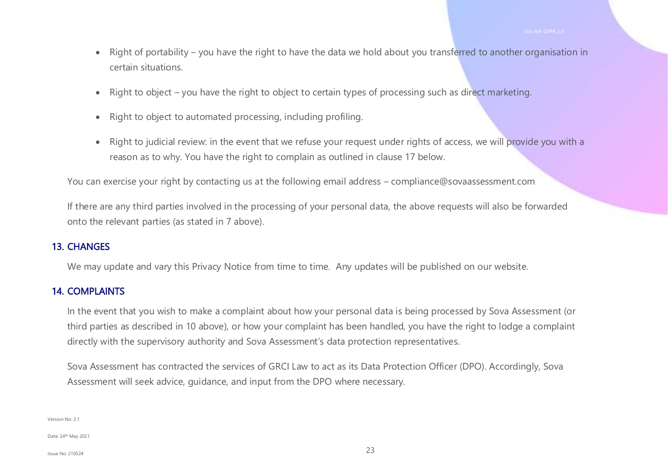- Right of portability you have the right to have the data we hold about you transferred to another organisation in certain situations.
- Right to object you have the right to object to certain types of processing such as direct marketing.
- Right to object to automated processing, including profiling.
- Right to judicial review: in the event that we refuse your request under rights of access, we will provide you with a reason as to why. You have the right to complain as outlined in clause 17 below.

You can exercise your right by contacting us at the following email address – [compliance@sovaassessment.com](mailto:compliance@sovaassessment.com)

If there are any third parties involved in the processing of your personal data, the above requests will also be forwarded onto the relevant parties (as stated in 7 above).

#### 13. CHANGES

We may update and vary this Privacy Notice from time to time. Any updates will be published on our website.

#### 14. COMPLAINTS

In the event that you wish to make a complaint about how your personal data is being processed by Sova Assessment (or third parties as described in 10 above), or how your complaint has been handled, you have the right to lodge a complaint directly with the supervisory authority and Sova Assessment's data protection representatives.

Sova Assessment has contracted the services of GRCI Law to act as its Data Protection Officer (DPO). Accordingly, Sova Assessment will seek advice, guidance, and input from the DPO where necessary.

Version No: 2.1